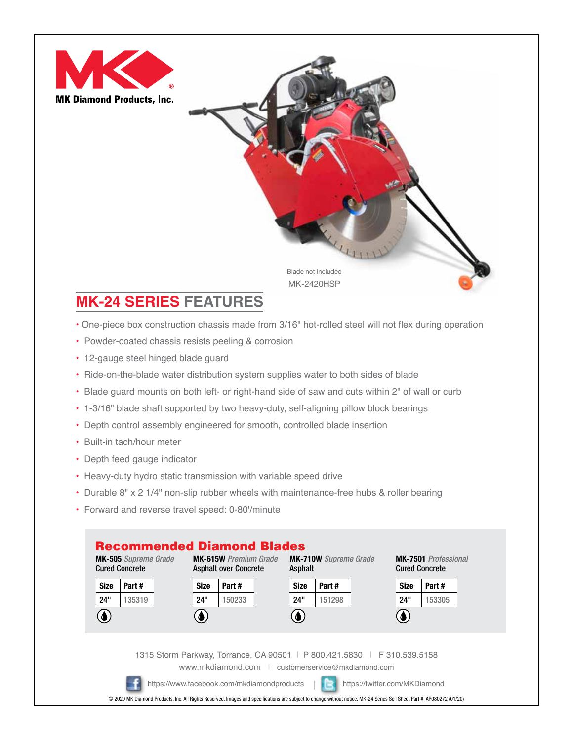



## **MK-24 SERIES FEATURES**

- One-piece box construction chassis made from 3/16" hot-rolled steel will not flex during operation
- Powder-coated chassis resists peeling & corrosion
- 12-gauge steel hinged blade guard
- Ride-on-the-blade water distribution system supplies water to both sides of blade
- Blade guard mounts on both left- or right-hand side of saw and cuts within 2" of wall or curb
- 1-3/16" blade shaft supported by two heavy-duty, self-aligning pillow block bearings
- Depth control assembly engineered for smooth, controlled blade insertion
- Built-in tach/hour meter
- Depth feed gauge indicator
- Heavy-duty hydro static transmission with variable speed drive
- Durable 8" x 2 1/4" non-slip rubber wheels with maintenance-free hubs & roller bearing
- Forward and reverse travel speed: 0-80'/minute